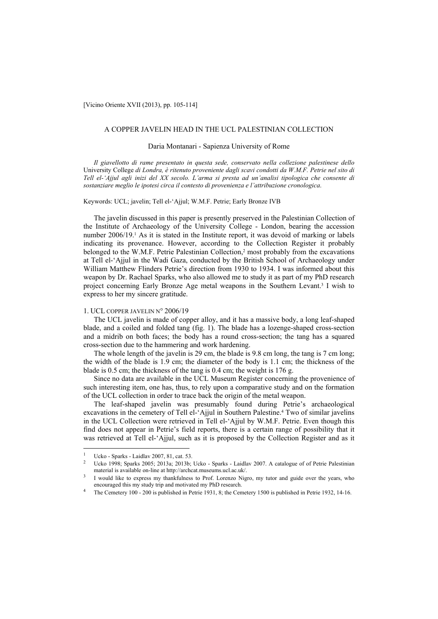[Vicino Oriente XVII (2013), pp. 105-114]

# A COPPER JAVELIN HEAD IN THE UCL PALESTINIAN COLLECTION

#### Daria Montanari - Sapienza University of Rome

*Il giavellotto di rame presentato in questa sede, conservato nella collezione palestinese dello*  University College *di Londra, è ritenuto proveniente dagli scavi condotti da W.M.F. Petrie nel sito di Tell el-'Ajjul agli inizi del XX secolo. L'arma si presta ad un'analisi tipologica che consente di sostanziare meglio le ipotesi circa il contesto di provenienza e l'attribuzione cronologica*.

Keywords: UCL; javelin; Tell el-'Ajjul; W.M.F. Petrie; Early Bronze IVB

The javelin discussed in this paper is presently preserved in the Palestinian Collection of the Institute of Archaeology of the University College - London, bearing the accession number 2006/19.<sup>1</sup> As it is stated in the Institute report, it was devoid of marking or labels indicating its provenance. However, according to the Collection Register it probably belonged to the W.M.F. Petrie Palestinian Collection,<sup>2</sup> most probably from the excavations at Tell el-'Ajjul in the Wadi Gaza, conducted by the British School of Archaeology under William Matthew Flinders Petrie's direction from 1930 to 1934. I was informed about this weapon by Dr. Rachael Sparks, who also allowed me to study it as part of my PhD research project concerning Early Bronze Age metal weapons in the Southern Levant.3 I wish to express to her my sincere gratitude.

# 1. UCL COPPER JAVELIN N° 2006/19

The UCL javelin is made of copper alloy, and it has a massive body, a long leaf-shaped blade, and a coiled and folded tang (fig. 1). The blade has a lozenge-shaped cross-section and a midrib on both faces; the body has a round cross-section; the tang has a squared cross-section due to the hammering and work hardening.

The whole length of the javelin is 29 cm, the blade is 9.8 cm long, the tang is 7 cm long; the width of the blade is 1.9 cm; the diameter of the body is 1.1 cm; the thickness of the blade is 0.5 cm; the thickness of the tang is 0.4 cm; the weight is 176 g.

Since no data are available in the UCL Museum Register concerning the provenience of such interesting item, one has, thus, to rely upon a comparative study and on the formation of the UCL collection in order to trace back the origin of the metal weapon.

The leaf-shaped javelin was presumably found during Petrie's archaeological excavations in the cemetery of Tell el-'Ajjul in Southern Palestine.<sup>4</sup> Two of similar javelins in the UCL Collection were retrieved in Tell el-'Ajjul by W.M.F. Petrie. Even though this find does not appear in Petrie's field reports, there is a certain range of possibility that it was retrieved at Tell el-'Ajjul, such as it is proposed by the Collection Register and as it

 $\overline{a}$ 

<sup>&</sup>lt;sup>1</sup> Ucko - Sparks - Laidlav 2007, 81, cat. 53.<br><sup>2</sup> Ucko 1998; Sparks 2005; 2013a; 2013b; Ucko - Sparks - Laidlav 2007. A catalogue of of Petrie Palestinian material is available on-line at http://archcat.museums.ucl.ac.uk/.<br>I would like to express my thankfulness to Prof. Lorenzo Nigro, my tutor and guide over the years, who

encouraged this my study trip and motivated my PhD research.<br>The Cemetery 100 - 200 is published in Petrie 1931, 8; the Cemetery 1500 is published in Petrie 1932, 14-16.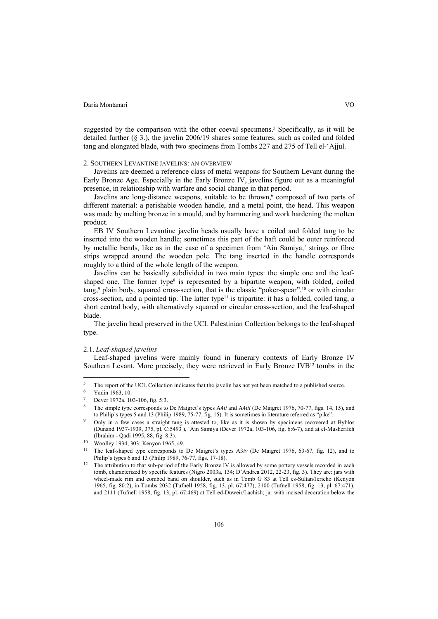suggested by the comparison with the other coeval specimens.<sup>5</sup> Specifically, as it will be detailed further (§ 3.), the javelin 2006/19 shares some features, such as coiled and folded tang and elongated blade, with two specimens from Tombs 227 and 275 of Tell el-'Ajjul.

#### 2. SOUTHERN LEVANTINE JAVELINS: AN OVERVIEW

Javelins are deemed a reference class of metal weapons for Southern Levant during the Early Bronze Age. Especially in the Early Bronze IV, javelins figure out as a meaningful presence, in relationship with warfare and social change in that period.

Javelins are long-distance weapons, suitable to be thrown,<sup>6</sup> composed of two parts of different material: a perishable wooden handle, and a metal point, the head. This weapon was made by melting bronze in a mould, and by hammering and work hardening the molten product.

EB IV Southern Levantine javelin heads usually have a coiled and folded tang to be inserted into the wooden handle; sometimes this part of the haft could be outer reinforced by metallic bends, like as in the case of a specimen from 'Ain Samiya,' strings or fibre strips wrapped around the wooden pole. The tang inserted in the handle corresponds roughly to a third of the whole length of the weapon.

Javelins can be basically subdivided in two main types: the simple one and the leafshaped one. The former type<sup>8</sup> is represented by a bipartite weapon, with folded, coiled tang,<sup>9</sup> plain body, squared cross-section, that is the classic "poker-spear",<sup>10</sup> or with circular cross-section, and a pointed tip. The latter type<sup>11</sup> is tripartite: it has a folded, coiled tang, a short central body, with alternatively squared or circular cross-section, and the leaf-shaped blade.

The javelin head preserved in the UCL Palestinian Collection belongs to the leaf-shaped type.

# 2.1. *Leaf-shaped javelins*

Leaf-shaped javelins were mainly found in funerary contexts of Early Bronze IV Southern Levant. More precisely, they were retrieved in Early Bronze IVB12 tombs in the

 $\overline{\mathbf{S}}$ <sup>5</sup> The report of the UCL Collection indicates that the javelin has not yet been matched to a published source.<br><sup>6</sup> Yadin 1963, 10.

Dever 1972a, 103-106, fig. 5:3.

<sup>8</sup> The simple type corresponds to De Maigret's types A4*ii* and A4*iii* (De Maigret 1976, 70-77, figs. 14, 15), and to Philip's types 5 and 13 (Philip 1989, 75-77, fig. 15). It is sometimes in literature referred as "pike".<br>Only in a few cases a straight tang is attested to, like as it is shown by specimens recovered at Byblos

<sup>(</sup>Dunand 1937-1939, 375, pl. C:5493 ), 'Ain Samiya (Dever 1972a, 103-106, fig. 6:6-7), and at el-Musherifeh

<sup>&</sup>lt;sup>10</sup> Woolley 1934, 303; Kenyon 1965, 49.

<sup>11</sup> The leaf-shaped type corresponds to De Maigret's types A3*iv* (De Maigret 1976, 63-67, fig. 12), and to

Philip's types 6 and 13 (Philip 1989, 76-77, figs. 17-18).<br><sup>12</sup> The attribution to that sub-period of the Early Bronze IV is allowed by some pottery vessels recorded in each tomb, characterized by specific features (Nigro 2003a, 134; D'Andrea 2012, 22-23, fig. 3). They are: jars with wheel-made rim and combed band on shoulder, such as in Tomb G 83 at Tell es-Sultan/Jericho (Kenyon 1965, fig. 80:2), in Tombs 2032 (Tufnell 1958, fig. 13, pl. 67:477), 2100 (Tufnell 1958, fig. 13, pl. 67:471), and 2111 (Tufnell 1958, fig. 13, pl. 67:469) at Tell ed-Duweir/Lachish; jar with incised decoration below the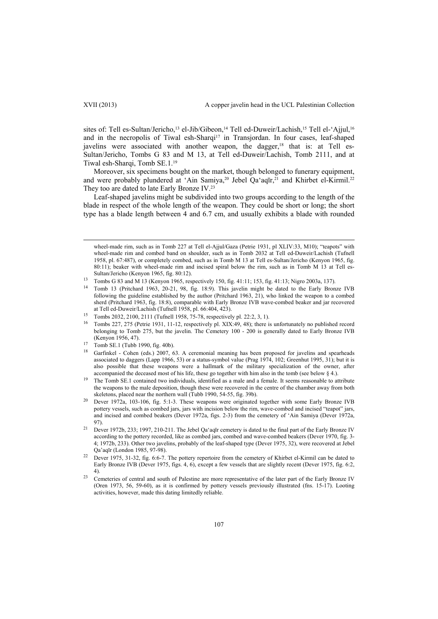sites of: Tell es-Sultan/Jericho,<sup>13</sup> el-Jib/Gibeon,<sup>14</sup> Tell ed-Duweir/Lachish,<sup>15</sup> Tell el-'Ajjul,<sup>16</sup> and in the necropolis of Tiwal esh-Sharqi<sup>17</sup> in Transjordan. In four cases, leaf-shaped javelins were associated with another weapon, the dagger, $18$  that is: at Tell es-Sultan/Jericho, Tombs G 83 and M 13, at Tell ed-Duweir/Lachish, Tomb 2111, and at Tiwal esh-Sharqi, Tomb SE.1.<sup>19</sup>

Moreover, six specimens bought on the market, though belonged to funerary equipment, and were probably plundered at 'Ain Samiya,<sup>20</sup> Jebel Qa'aqīr,<sup>21</sup> and Khirbet el-Kirmil.<sup>22</sup> They too are dated to late Early Bronze IV.23

Leaf-shaped javelins might be subdivided into two groups according to the length of the blade in respect of the whole length of the weapon. They could be short or long; the short type has a blade length between 4 and 6.7 cm, and usually exhibits a blade with rounded

wheel-made rim, such as in Tomb 227 at Tell el-Ajjul/Gaza (Petrie 1931, pl XLIV:33, M10); "teapots" with wheel-made rim and combed band on shoulder, such as in Tomb 2032 at Tell ed-Duweir/Lachish (Tufnell 1958, pl. 67:487), or completely combed, such as in Tomb M 13 at Tell es-Sultan/Jericho (Kenyon 1965, fig. 80:11); beaker with wheel-made rim and incised spiral below the rim, such as in Tomb M 13 at Tell es-Sultan/Jericho (Kenyon 1965, fig. 80:12).

- following the guideline established by the author (Pritchard 1963, 21), who linked the weapon to a combed sherd (Pritchard 1963, fig. 18:8), comparable with Early Bronze IVB wave-combed beaker and jar recovered at Tell ed-Duweir/Lachish (Tufnell 1958, pl. 66:404, 423).
- <sup>15</sup> Tombs 2032, 2100, 2111 (Tufnell 1958, 75-78, respectively pl. 22:2, 3, 1).
- <sup>16</sup> Tombs 227, 275 (Petrie 1931, 11-12, respectively pl. XIX:49, 48); there is unfortunately no published record belonging to Tomb 275, but the javelin. The Cemetery 100 - 200 is generally dated to Early Bronze IVB (Kenyon 1956, 47). 17 Tomb SE.1 (Tubb 1990, fig. 40b).
- 
- <sup>18</sup> Garfinkel Cohen (eds.) 2007, 63. A ceremonial meaning has been proposed for javelins and spearheads associated to daggers (Lapp 1966, 53) or a status-symbol value (Prag 1974, 102; Greenhut 1995, 31); but it is also possible that these weapons were a hallmark of the military specialization of the owner, after accompanied the deceased most of his life, these go together with him also in the tomb (see below § 4.).<br><sup>19</sup> The Tomb SE.1 contained two individuals, identified as a male and a female. It seems reasonable to attribute
- the weapons to the male deposition, though these were recovered in the centre of the chamber away from both skeletons, placed near the northern wall (Tubb 1990, 54-55, fig. 39b).<br>Dever 1972a, 103-106, fig. 5:1-3. These weapons were originated together with some Early Bronze IVB
- pottery vessels, such as combed jars, jars with incision below the rim, wave-combed and incised "teapot" jars, and incised and combed beakers (Dever 1972a, figs. 2-3) from the cemetery of 'Ain Samiya (Dever 1972a,
- <sup>21</sup> Dever 1972b, 233; 1997, 210-211. The Jebel Qa'aqīr cemetery is dated to the final part of the Early Bronze IV according to the pottery recorded, like as combed jars, combed and wave-combed beakers (Dever 1970, fig. 3- 4; 1972b, 233). Other two javelins, probably of the leaf-shaped type (Dever 1975, 32), were recovered at Jebel Qa'aqīr (London 1985, 97-98).<br>Dever 1975, 31-32, fig. 6:6-7. The pottery repertoire from the cemetery of Khirbet el-Kirmil can be dated to

4).<br><sup>23</sup> Cemeteries of central and south of Palestine are more representative of the later part of the Early Bronze IV (Oren 1973, 56, 59-60), as it is confirmed by pottery vessels previously illustrated (fns. 15-17). Looting activities, however, made this dating limitedly reliable.

<sup>&</sup>lt;sup>13</sup> Tombs G 83 and M 13 (Kenyon 1965, respectively 150, fig. 41:11; 153, fig. 41:13; Nigro 2003a, 137). <sup>14</sup> Tomb 13 (Pritchard 1963, 20-21, 98, fig. 18:9). This javelin might be dated to the Early Bronze IVB

Early Bronze IVB (Dever 1975, figs. 4, 6), except a few vessels that are slightly recent (Dever 1975, fig. 6:2,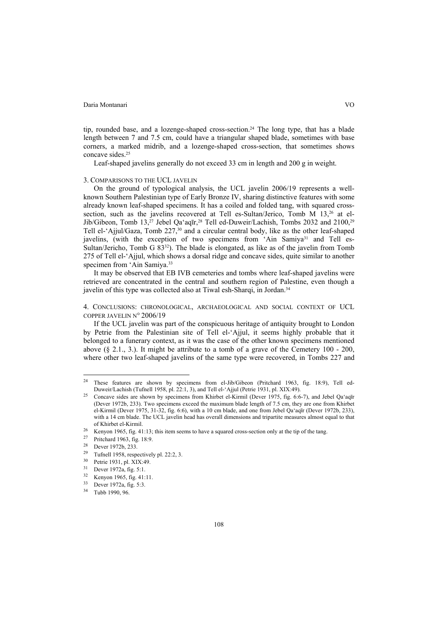tip, rounded base, and a lozenge-shaped cross-section.24 The long type, that has a blade length between 7 and 7.5 cm, could have a triangular shaped blade, sometimes with base corners, a marked midrib, and a lozenge-shaped cross-section, that sometimes shows concave sides.<sup>25</sup>

Leaf-shaped javelins generally do not exceed 33 cm in length and 200 g in weight.

# 3. COMPARISONS TO THE UCL JAVELIN

On the ground of typological analysis, the UCL javelin 2006/19 represents a wellknown Southern Palestinian type of Early Bronze IV, sharing distinctive features with some already known leaf-shaped specimens. It has a coiled and folded tang, with squared crosssection, such as the javelins recovered at Tell es-Sultan/Jerico, Tomb M 13,<sup>26</sup> at el-Jib/Gibeon, Tomb 13,<sup>27</sup> Jebel Qa'aqīr,<sup>28</sup> Tell ed-Duweir/Lachish, Tombs 2032 and 2100,<sup>29</sup> Tell el-'Ajjul/Gaza, Tomb 227,<sup>30</sup> and a circular central body, like as the other leaf-shaped javelins, (with the exception of two specimens from 'Ain Samiya<sup>31</sup> and Tell es-Sultan/Jericho, Tomb G 8332). The blade is elongated, as like as of the javelin from Tomb 275 of Tell el-'Ajjul, which shows a dorsal ridge and concave sides, quite similar to another specimen from 'Ain Samiya.<sup>33</sup>

It may be observed that EB IVB cemeteries and tombs where leaf-shaped javelins were retrieved are concentrated in the central and southern region of Palestine, even though a javelin of this type was collected also at Tiwal esh-Sharqi, in Jordan.<sup>34</sup>

4. CONCLUSIONS: CHRONOLOGICAL, ARCHAEOLOGICAL AND SOCIAL CONTEXT OF UCL COPPER JAVELIN N° 2006/19

If the UCL javelin was part of the conspicuous heritage of antiquity brought to London by Petrie from the Palestinian site of Tell el-'Ajjul, it seems highly probable that it belonged to a funerary context, as it was the case of the other known specimens mentioned above  $(\S 2.1, 3.)$ . It might be attribute to a tomb of a grave of the Cemetery 100 - 200, where other two leaf-shaped javelins of the same type were recovered, in Tombs 227 and

 $\overline{\phantom{a}}$ 

<sup>&</sup>lt;sup>24</sup> These features are shown by specimens from el-Jib/Gibeon (Pritchard 1963, fig. 18:9), Tell ed-Duweir/Lachish (Tufnell 1958, pl. 22:1, 3), and Tell el-'Ajjul (Petrie 1931, pl. XIX:49).<br><sup>25</sup> Concave sides are shown by specimens from Khirbet el-Kirmil (Dever 1975, fig. 6:6-7), and Jebel Qa'aqīr

<sup>(</sup>Dever 1972b, 233). Two specimens exceed the maximum blade length of 7.5 cm, they are one from Khirbet el-Kirmil (Dever 1975, 31-32, fig. 6:6), with a 10 cm blade, and one from Jebel Qa'aqīr (Dever 1972b, 233), with a 14 cm blade. The UCL javelin head has overall dimensions and tripartite measures almost equal to that of Khirbet el-Kirmil.<br>
<sup>26</sup> Kenyon 1965, fig. 41:13; this item seems to have a squared cross-section only at the tip of the tang.<br>
<sup>27</sup> Pritchard 1963, fig. 18:9.<br>
<sup>28</sup> Power 1972b, 233.

 $\frac{28}{29}$  Dever 1972b, 233.

<sup>&</sup>lt;sup>29</sup> Tufnell 1958, respectively pl. 22:2, 3.<br> $^{30}$  Petric 1931 pl. XIX:40

Petrie 1931, pl. XIX:49.

<sup>31</sup> Dever 1972a, fig. 5:1.

 $\frac{32}{33}$  Kenyon 1965, fig. 41:11.

Dever 1972a, fig. 5:3.

<sup>34</sup> Tubb 1990, 96.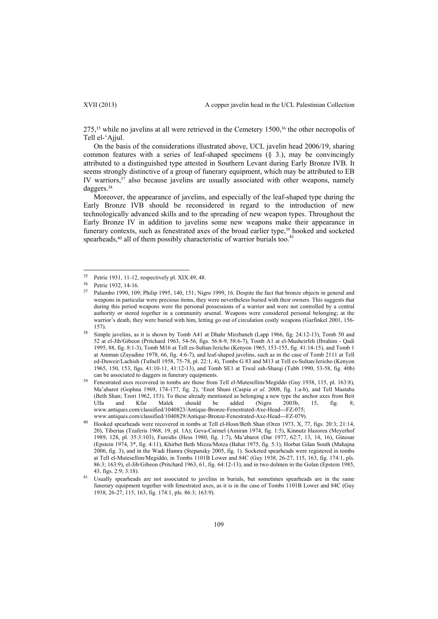275,<sup>35</sup> while no javelins at all were retrieved in the Cemetery 1500,<sup>36</sup> the other necropolis of Tell el-'Ajjul.

On the basis of the considerations illustrated above, UCL javelin head 2006/19, sharing common features with a series of leaf-shaped specimens (§ 3.), may be convincingly attributed to a distinguished type attested in Southern Levant during Early Bronze IVB. It seems strongly distinctive of a group of funerary equipment, which may be attributed to EB IV warriors, $37$  also because javelins are usually associated with other weapons, namely daggers.38

Moreover, the appearance of javelins, and especially of the leaf-shaped type during the Early Bronze IVB should be reconsidered in regard to the introduction of new technologically advanced skills and to the spreading of new weapon types. Throughout the Early Bronze IV in addition to javelins some new weapons make their appearance in funerary contexts, such as fenestrated axes of the broad earlier type,<sup>39</sup> hooked and socketed spearheads,<sup>40</sup> all of them possibly characteristic of warrior burials too.<sup>41</sup>

 $\overline{a}$ 

<sup>&</sup>lt;sup>35</sup> Petrie 1931, 11-12, respectively pl. XIX:49, 48.<br><sup>36</sup> Petrie 1932, 14-16.<br><sup>37</sup> Palumbo 1990, 109; Philip 1995, 140, 151; Nigro 1999, 16. Despite the fact that bronze objects in general and weapons in particular were precious items, they were nevertheless buried with their owners. This suggests that during this period weapons were the personal possessions of a warrior and were not controlled by a central authority or stored together in a community arsenal. Weapons were considered personal belonging; at the warrior's death, they were buried with him, letting go out of circulation costly weapons (Garfinkel 2001, 156-157).<br><sup>38</sup> Simple javelins, as it is shown by Tomb A41 at Dhahr Mirzbaneh (Lapp 1966, fig. 24:12-13), Tomb 50 and

<sup>52</sup> at el-Jib/Gibeon (Pritchard 1963, 54-56, figs. 56:8-9, 58:6-7), Tomb A1 at el-Musheirfeh (Ibrahim - Qadi 1995, 88, fig. 8:1-3), Tomb M16 at Tell es-Sultan/Jericho (Kenyon 1965, 153-155, fig. 41:14-15), and Tomb 1 at Amman (Zayadine 1978, 66, fig. 4:6-7), and leaf-shaped javelins, such as in the case of Tomb 2111 at Tell ed-Duweir/Lachish (Tufnell 1958, 75-78, pl. 22:1, 4), Tombs G 83 and M13 at Tell es-Sultan/Jericho (Kenyon 1965, 150, 153, figs. 41:10-11, 41:12-13), and Tomb SE1 at Tiwal esh-Sharqi (Tubb 1990, 53-58, fig. 40b) can be associated to daggers in funerary equipments. 39 Fenestrated axes recovered in tombs are those from Tell el-Mutesellim/Megiddo (Guy 1938, 115, pl. 163:8),

Ma'abarot (Gophna 1969, 174-177, fig. 2), 'Enot Shuni (Caspia *et al*. 2008, fig. 1:a-b), and Tell Mastaba (Beth Shan; Tzori 1962, 153). To these already mentioned as belonging a new type the anchor axes from Beit Ulla and Kfar Malek should be added (Nigro 2003b, 15, fig. 8; Ulla and Kfar Malek should be added (Nigro 2003b, 15, fig. 8; www.antiques.com/classified/1040823/Antique-Bronze-Fenestrated-Axe-Head---FZ-075;

www.antiques.com/classified/1040829/Antique-Bronze-Fenestrated-Axe-Head---FZ-079).<br><sup>40</sup> Hooked spearheads were recovered in tombs at Tell el-Hosn/Beth Shan (Oren 1973, X, 77, figs. 20:3; 21:14, 20), Tiberias (Tzaferis 1968, 19, pl. 1A); Geva-Carmel (Amiran 1974, fig. 1:5), Kinnutz Hazorea (Meyerhof 1989, 128, pl. 35:3:103), Fureidis (Hess 1980, fig. 1:7), Ma'abarot (Dar 1977, 62:7, 13, 14, 16), Ginosar (Epstein 1974, 3\*, fig. 4:11), Khirbet Beth Mizza/Motza (Bahat 1975, fig. 5:1), Horbat Gilan South (Mahajna 2006, fig. 3), and in the Wadi Hamra (Stepansky 2005, fig. 1). Socketed spearheads were registered in tombs at Tell el-Mutesellim/Megiddo, in Tombs 1101B Lower and 84C (Guy 1938, 26-27, 115, 163, fig. 174:1, pls. 86:3; 163:9), el-Jib/Gibeon (Pritchard 1963, 61, fig. 64:12-13), and in two dolmen in the Golan (Epstein 1985, 43, figs. 2:9; 3:18). 41 Usually spearheads are not associated to javelins in burials, but sometimes spearheads are in the same

funerary equipment together with fenestrated axes, as it is in the case of Tombs 1101B Lower and 84C (Guy 1938, 26-27, 115, 163, fig. 174:1, pls. 86:3; 163:9).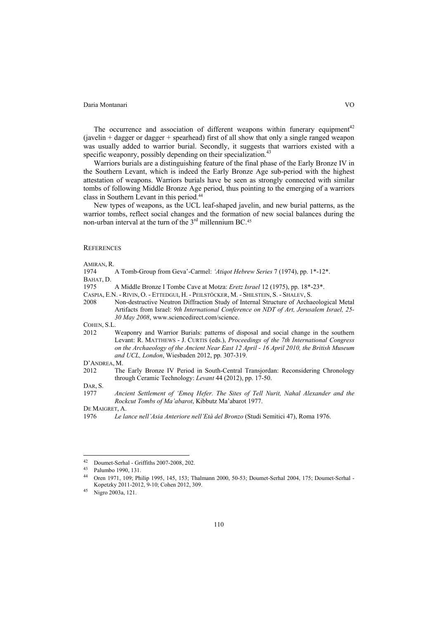The occurrence and association of different weapons within funerary equipment<sup>42</sup> (javelin + dagger or dagger + spearhead) first of all show that only a single ranged weapon was usually added to warrior burial. Secondly, it suggests that warriors existed with a specific weaponry, possibly depending on their specialization.<sup>43</sup>

Warriors burials are a distinguishing feature of the final phase of the Early Bronze IV in the Southern Levant, which is indeed the Early Bronze Age sub-period with the highest attestation of weapons. Warriors burials have be seen as strongly connected with similar tombs of following Middle Bronze Age period, thus pointing to the emerging of a warriors class in Southern Levant in this period.44

New types of weapons, as the UCL leaf-shaped javelin, and new burial patterns, as the warrior tombs, reflect social changes and the formation of new social balances during the non-urban interval at the turn of the  $3<sup>rd</sup>$  millennium BC.<sup>45</sup>

# **REFERENCES**

AMIRAN, R.

1974 A Tomb-Group from Gevaʽ-Carmel: *'Atiqot Hebrew Series* 7 (1974), pp. 1\*-12\*. BAHAT, D.

- 1975 A Middle Bronze I Tombe Cave at Motza: *Eretz Israel* 12 (1975), pp. 18\*-23\*.
- CASPIA, E.N. RIVIN, O. ETTEDGUI, H. PEILSTÖCKER, M. SHILSTEIN, S. SHALEV, S.
- 2008 Non-destructive Neutron Diffraction Study of Internal Structure of Archaeological Metal Artifacts from Israel: *9th International Conference on NDT of Art, Jerusalem Israel, 25- 30 May 2008*, www.sciencedirect.com/science.

COHEN, S.L.

2012 Weaponry and Warrior Burials: patterns of disposal and social change in the southern Levant: R. MATTHEWS - J. CURTIS (eds.), *Proceedings of the 7th International Congress on the Archaeology of the Ancient Near East 12 April - 16 April 2010, the British Museum and UCL, London*, Wiesbaden 2012, pp. 307-319.

# D'ANDREA, M.

2012 The Early Bronze IV Period in South-Central Transjordan: Reconsidering Chronology through Ceramic Technology: *Levant* 44 (2012), pp. 17-50.

DAR, S.

DE MAIGRET, A.

<sup>1977</sup> *Ancient Settlement of 'Emeq Hefer. The Sites of Tell Nurit, Nahal Alexander and the Rockcut Tombs of Ma'abarot*, Kibbutz Ma'abarot 1977.

<sup>1976</sup> *Le lance nell'Asia Anteriore nell'Età del Bronzo* (Studi Semitici 47), Roma 1976.

 $42$ 42 Doumet-Serhal - Griffiths 2007-2008, 202. 43 Palumbo 1990, 131.

<sup>44</sup> Oren 1971, 109; Philip 1995, 145, 153; Thalmann 2000, 50-53; Doumet-Serhal 2004, 175; Doumet-Serhal - Kopetzky 2011-2012, 9-10; Cohen 2012, 309.<br><sup>45</sup> Nigro 2003a, 121.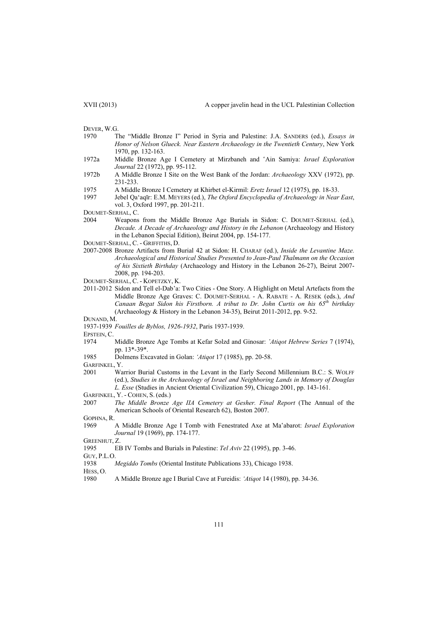DEVER, W.G.

- 1970 The "Middle Bronze I" Period in Syria and Palestine: J.A. SANDERS (ed.), *Essays in Honor of Nelson Glueck. Near Eastern Archaeology in the Twentieth Century*, New York 1970, pp. 132-163.
- 1972a Middle Bronze Age I Cemetery at Mirzbaneh and ʽAin Samiya: *Israel Exploration Journal* 22 (1972), pp. 95-112.
- 1972b A Middle Bronze I Site on the West Bank of the Jordan: *Archaeology* XXV (1972), pp. 231-233.
- 1975 A Middle Bronze I Cemetery at Khirbet el-Kirmil: *Eretz Israel* 12 (1975), pp. 18-33.
- 1997 Jebel Qa'aqīr: E.M. MEYERS (ed.), *The Oxford Encyclopedia of Archaeology in Near East*, vol. 3, Oxford 1997, pp. 201-211.

DOUMET-SERHAL, C.

- 2004 Weapons from the Middle Bronze Age Burials in Sidon: C. DOUMET-SERHAL (ed.), *Decade. A Decade of Archaeology and History in the Lebanon* (Archaeology and History in the Lebanon Special Edition), Beirut 2004, pp. 154-177.
- DOUMET-SERHAL, C. GRIFFITHS, D.
- 2007-2008 Bronze Artifacts from Burial 42 at Sidon: H. CHARAF (ed.), *Inside the Levantine Maze. Archaeological and Historical Studies Presented to Jean-Paul Thalmann on the Occasion of his Sixtieth Birthday* (Archaeology and History in the Lebanon 26-27), Beirut 2007- 2008, pp. 194-203.
- DOUMET-SERHAL, C. KOPETZKY, K.
- 2011-2012 Sidon and Tell el-Dab'a: Two Cities One Story. A Highlight on Metal Artefacts from the Middle Bronze Age Graves: C. DOUMET-SERHAL - A. RABATE - A. RESEK (eds.), *And Canaan Begat Sidon his Firstborn. A tribut to Dr. John Curtis on his 65th birthday* (Archaeology & History in the Lebanon 34-35), Beirut 2011-2012, pp. 9-52.

#### DUNAND, M.

1937-1939 *Fouilles de Byblos, 1926-1932*, Paris 1937-1939.

EPSTEIN, C.

- 1974 Middle Bronze Age Tombs at Kefar Solzd and Ginosar: *ʽAtiqot Hebrew Series* 7 (1974), pp. 13\*-39\*.
- 1985 Dolmens Excavated in Golan: *'Atiqot* 17 (1985), pp. 20-58.

GARFINKEL, Y.

- 2001 Warrior Burial Customs in the Levant in the Early Second Millennium B.C.: S. WOLFF (ed.), *Studies in the Archaeology of Israel and Neighboring Lands in Memory of Douglas L. Esse* (Studies in Ancient Oriental Civilization 59), Chicago 2001, pp. 143-161.
- GARFINKEL, Y. COHEN, S. (eds.)
- 2007 *The Middle Bronze Age IIA Cemetery at Gesher. Final Report* (The Annual of the American Schools of Oriental Research 62), Boston 2007.

GOPHNA, R.

1969 A Middle Bronze Age I Tomb with Fenestrated Axe at Maʽabarot: *Israel Exploration Journal* 19 (1969), pp. 174-177.

GREENHUT, Z.<br>1995 EI

1995 EB IV Tombs and Burials in Palestine: *Tel Aviv* 22 (1995), pp. 3-46.

GUY, P.L.O.

1938 *Megiddo Tombs* (Oriental Institute Publications 33), Chicago 1938.

HESS, O.

1980 A Middle Bronze age I Burial Cave at Fureidis: *'Atiqot* 14 (1980), pp. 34-36.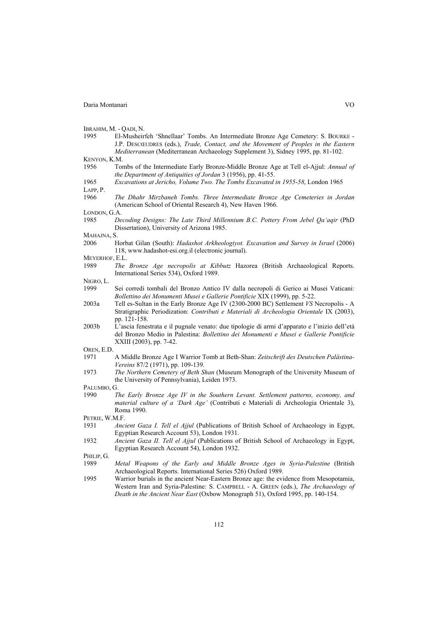IBRAHIM, M. - QADI, N.

1995 El-Musheirfeh 'Shnellaar' Tombs. An Intermediate Bronze Age Cemetery: S. BOURKE - J.P. DESCŒUDRES (eds.), *Trade, Contact, and the Movement of Peoples in the Eastern Mediterranean* (Mediterranean Archaeology Supplement 3), Sidney 1995, pp. 81-102. KENYON, K.M.

1956 Tombs of the Intermediate Early Bronze-Middle Bronze Age at Tell el-Ajjul: *Annual of the Department of Antiquities of Jordan* 3 (1956), pp. 41-55.

# 1965 *Excavations at Jericho, Volume Two. The Tombs Excavated in 1955-58*, London 1965 LAPP, P.

1966 *The Dhahr Mirzbaneh Tombs. Three Intermediate Bronze Age Cemeteries in Jordan* (American School of Oriental Research 4), New Haven 1966.

LONDON, G.A.

1985 *Decoding Designs: The Late Third Millennium B.C. Pottery From Jebel Qa'aqir* (PhD Dissertation), University of Arizona 1985.

MAHAJNA, S.

- 2006 Horbat Gilan (South): *Hadashot Arkheologiyot. Excavation and Survey in Israel* (2006) 118, www.hadashot-esi.org.il (electronic journal).
- MEYERHOF, E.L.
- 1989 *The Bronze Age necropolis at Kibbutz* Hazorea (British Archaeological Reports. International Series 534), Oxford 1989.

NIGRO<sub>L</sub>

- 1999 Sei corredi tombali del Bronzo Antico IV dalla necropoli di Gerico ai Musei Vaticani: *Bollettino dei Monumenti Musei e Gallerie Pontificie* XIX (1999), pp. 5-22.
- 2003a Tell es-Sultan in the Early Bronze Age IV (2300-2000 BC) Settlement *VS* Necropolis A Stratigraphic Periodization: *Contributi e Materiali di Archeologia Orientale* IX (2003), pp. 121-158.
- 2003b L'ascia fenestrata e il pugnale venato: due tipologie di armi d'apparato e l'inizio dell'età del Bronzo Medio in Palestina: *Bollettino dei Monumenti e Musei e Gallerie Pontificie* XXIII (2003), pp. 7-42.

OREN, E.D.

- 1971 A Middle Bronze Age I Warrior Tomb at Beth-Shan: *Zeitschrift des Deutschen Palästina-Vereins* 87/2 (1971), pp. 109-139.
- 1973 *The Northern Cemetery of Beth Shan* (Museum Monograph of the University Museum of the University of Pennsylvania), Leiden 1973.

PALUMBO, G.

1990 *The Early Bronze Age IV in the Southern Levant. Settlement patterns, economy, and material culture of a 'Dark Age'* (Contributi e Materiali di Archeologia Orientale 3), Roma 1990.

PETRIE, W.M.F.

- 1931 *Ancient Gaza I. Tell el Ajjul* (Publications of British School of Archaeology in Egypt, Egyptian Research Account 53), London 1931.
- 1932 *Ancient Gaza II. Tell el Ajjul* (Publications of British School of Archaeology in Egypt, Egyptian Research Account 54), London 1932.

PHILIP, G.

- 1989 *Metal Weapons of the Early and Middle Bronze Ages in Syria-Palestine* (British Archaeological Reports. International Series 526) Oxford 1989.
- 1995 Warrior burials in the ancient Near-Eastern Bronze age: the evidence from Mesopotamia, Western Iran and Syria-Palestine: S. CAMPBELL - A. GREEN (eds.), *The Archaeology of Death in the Ancient Near East* (Oxbow Monograph 51), Oxford 1995, pp. 140-154.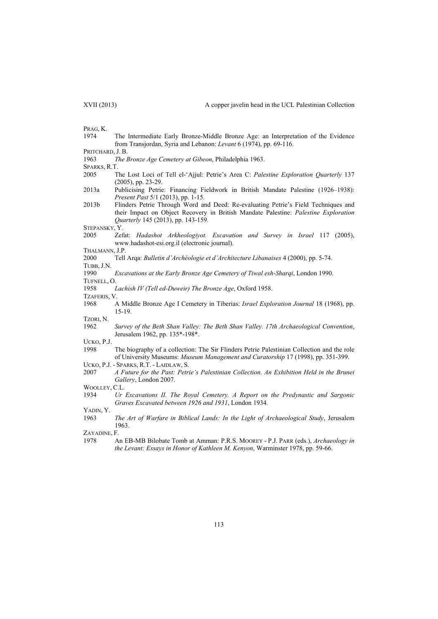PRAG, K.

1974 The Intermediate Early Bronze-Middle Bronze Age: an Interpretation of the Evidence from Transjordan, Syria and Lebanon: *Levant* 6 (1974), pp. 69-116.

PRITCHARD, J. B.

- 1963 *The Bronze Age Cemetery at Gibeon*, Philadelphia 1963.
- SPARKS, R.T.
- 2005 The Lost Loci of Tell el-'Ajjul: Petrie's Area C: *Palestine Exploration Quarterly* 137 (2005), pp. 23-29.
- 2013a Publicising Petrie: Financing Fieldwork in British Mandate Palestine (1926–1938): *Present Past* 5/1 (2013), pp. 1-15.
- 2013b Flinders Petrie Through Word and Deed: Re-evaluating Petrie's Field Techniques and their Impact on Object Recovery in British Mandate Palestine: *Palestine Exploration Quarterly* 145 (2013), pp. 143-159.

STEPANSKY, Y.

2005 Zefat: *Hadashot Arkheologiyot. Excavation and Survey in Israel* 117 (2005), www.hadashot-esi.org.il (electronic journal).

THALMANN, J.P.

2000 Tell Arqa: *Bulletin d'Archéologie et d'Architecture Libanaises* 4 (2000), pp. 5-74. TUBB, J.N.

1990 *Excavations at the Early Bronze Age Cemetery of Tiwal esh-Sharqi*, London 1990.

TUFNELL, O.

1958 *Lachish IV (Tell ed-Duweir) The Bronze Age*, Oxford 1958.

TZAFERIS, V.

1968 A Middle Bronze Age I Cemetery in Tiberias: *Israel Exploration Journal* 18 (1968), pp. 15-19.

TZORI, N.

1962 *Survey of the Beth Shan Valley: The Beth Shan Valley. 17th Archaeological Convention*, Jerusalem 1962, pp. 135\*-198\*.

UCKO, P.J.

- 1998 The biography of a collection: The Sir Flinders Petrie Palestinian Collection and the role of University Museums: *Museum Management and Curatorship* 17 (1998), pp. 351-399.
- UCKO, P.J. SPARKS, R.T. LAIDLAW, S.
- 2007 *A Future for the Past: Petrie's Palestinian Collection. An Exhibition Held in the Brunei Gallery*, London 2007.
- WOOLLEY, C.L.
- 1934 *Ur Excavations II. The Royal Cemetery. A Report on the Predynastic and Sargonic Graves Excavated between 1926 and 1931*, London 1934. YADIN, Y.

1963 *The Art of Warfare in Biblical Lands: In the Light of Archaeological Study*, Jerusalem

1963.

- ZAYADINE, F.
- 1978 An EB-MB Bilobate Tomb at Amman: P.R.S. MOOREY P.J. PARR (eds.), *Archaeology in the Levant: Essays in Honor of Kathleen M. Kenyon*, Warminster 1978, pp. 59-66.